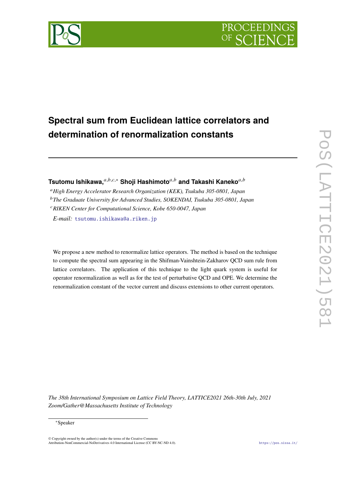

# **Spectral sum from Euclidean lattice correlators and determination of renormalization constants**

**Tsutomu Ishikawa,**<sup>*a,b,c,∗*</sub> **Shoji Hashimoto**<sup>*a,b*</sup> and Takashi Kaneko<sup>*a,b*</sup></sup>

<sup>𝑎</sup>*High Energy Accelerator Research Organization (KEK), Tsukuba 305-0801, Japan* <sup>𝑏</sup>*The Graduate University for Advanced Studies, SOKENDAI, Tsukuba 305-0801, Japan* <sup>𝑐</sup>*RIKEN Center for Computational Science, Kobe 650-0047, Japan*

*E-mail:* [tsutomu.ishikawa@a.riken.jp](mailto:tsutomu.ishikawa@a.riken.jp)

We propose a new method to renormalize lattice operators. The method is based on the technique to compute the spectral sum appearing in the Shifman-Vainshtein-Zakharov QCD sum rule from lattice correlators. The application of this technique to the light quark system is useful for operator renormalization as well as for the test of perturbative QCD and OPE. We determine the renormalization constant of the vector current and discuss extensions to other current operators.

*The 38th International Symposium on Lattice Field Theory, LATTICE2021 26th-30th July, 2021 Zoom/Gather@Massachusetts Institute of Technology*

#### <sup>∗</sup>Speaker

 $\odot$  Copyright owned by the author(s) under the terms of the Creative Common Attribution-NonCommercial-NoDerivatives 4.0 International License (CC BY-NC-ND 4.0). <https://pos.sissa.it/>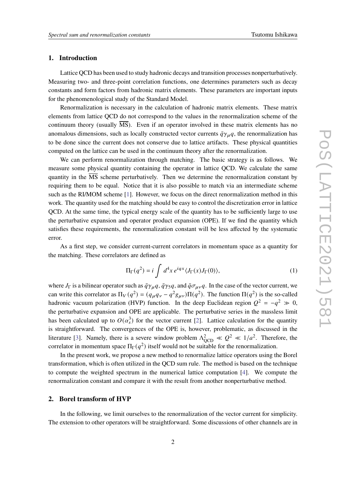# **1. Introduction**

Lattice QCD has been used to study hadronic decays and transition processes nonperturbatively. Measuring two- and three-point correlation functions, one determines parameters such as decay constants and form factors from hadronic matrix elements. These parameters are important inputs for the phenomenological study of the Standard Model.

Renormalization is necessary in the calculation of hadronic matrix elements. These matrix elements from lattice QCD do not correspond to the values in the renormalization scheme of the continuum theory (usually  $\overline{MS}$ ). Even if an operator involved in these matrix elements has no anomalous dimensions, such as locally constructed vector currents  $\bar{q}\gamma_{\mu}q$ , the renormalization has to be done since the current does not conserve due to lattice artifacts. These physical quantities computed on the lattice can be used in the continuum theory after the renormalization.

We can perform renormalization through matching. The basic strategy is as follows. We measure some physical quantity containing the operator in lattice QCD. We calculate the same quantity in the  $\overline{\text{MS}}$  scheme perturbatively. Then we determine the renormalization constant by requiring them to be equal. Notice that it is also possible to match via an intermediate scheme such as the RI/MOM scheme [\[1\]](#page-6-0). However, we focus on the direct renormalization method in this work. The quantity used for the matching should be easy to control the discretization error in lattice QCD. At the same time, the typical energy scale of the quantity has to be sufficiently large to use the perturbative expansion and operator product expansion (OPE). If we find the quantity which satisfies these requirements, the renormalization constant will be less affected by the systematic error.

As a first step, we consider current-current correlators in momentum space as a quantity for the matching. These correlators are defined as

$$
\Pi_{\Gamma}(q^2) = i \int d^4x \, e^{iqx} \langle J_{\Gamma}(x) J_{\Gamma}(0) \rangle, \tag{1}
$$

where  $J_{\Gamma}$  is a bilinear operator such as  $\bar{q}\gamma_{\mu}q$ ,  $\bar{q}\gamma_{5}q$ , and  $\bar{q}\sigma_{\mu\nu}q$ . In the case of the vector current, we can write this correlator as  $\Pi_V(q^2) = (q_\mu q_\nu - q^2 g_{\mu\nu}) \Pi(q^2)$ . The function  $\Pi(q^2)$  is the so-called hadronic vacuum polarization (HVP) function. In the deep Euclidean region  $Q^2 = -q^2 \gg 0$ , the perturbative expansion and OPE are applicable. The perturbative series in the massless limit has been calculated up to  $O(\alpha_s^3)$  for the vector current [\[2\]](#page-7-0). Lattice calculation for the quantity is straightforward. The convergences of the OPE is, however, problematic, as discussed in the literature [\[3\]](#page-7-1). Namely, there is a severe window problem  $\Lambda_{QCD}^2 \ll Q^2 \ll 1/a^2$ . Therefore, the correlator in momentum space  $\Pi_{\Gamma}(q^2)$  itself would not be suitable for the renormalization.

In the present work, we propose a new method to renormalize lattice operators using the Borel transformation, which is often utilized in the QCD sum rule. The method is based on the technique to compute the weighted spectrum in the numerical lattice computation [\[4\]](#page-7-2). We compute the renormalization constant and compare it with the result from another nonperturbative method.

### **2. Borel transform of HVP**

In the following, we limit ourselves to the renormalization of the vector current for simplicity. The extension to other operators will be straightforward. Some discussions of other channels are in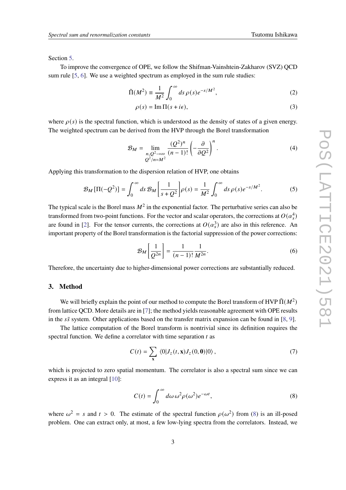Section [5.](#page-5-0)

To improve the convergence of OPE, we follow the Shifman-Vainshtein-Zakharov (SVZ) QCD sum rule [\[5,](#page-7-3) [6\]](#page-7-4). We use a weighted spectrum as employed in the sum rule studies:

$$
\tilde{\Pi}(M^2) \equiv \frac{1}{M^2} \int_0^\infty ds \,\rho(s)e^{-s/M^2},\tag{2}
$$

<span id="page-2-1"></span>
$$
\rho(s) = \operatorname{Im} \Pi(s + i\epsilon),\tag{3}
$$

where  $\rho(s)$  is the spectral function, which is understood as the density of states of a given energy. The weighted spectrum can be derived from the HVP through the Borel transformation

$$
\mathcal{B}_M = \lim_{\substack{n,Q^2 \to \infty \\ Q^2/n = M^2}} \frac{(Q^2)^n}{(n-1)!} \left(-\frac{\partial}{\partial Q^2}\right)^n.
$$
\n(4)

Applying this transformation to the dispersion relation of HVP, one obtains

$$
\mathcal{B}_M[\Pi(-Q^2)] = \int_0^\infty ds \, \mathcal{B}_M\bigg[\frac{1}{s+Q^2}\bigg]\rho(s) = \frac{1}{M^2} \int_0^\infty ds \, \rho(s) e^{-s/M^2}.\tag{5}
$$

The typical scale is the Borel mass  $M^2$  in the exponential factor. The perturbative series can also be transformed from two-point functions. For the vector and scalar operators, the corrections at  $O(\alpha_s^4)$ are found in [\[2\]](#page-7-0). For the tensor currents, the corrections at  $O(\alpha_s^3)$  are also in this reference. An important property of the Borel transformation is the factorial suppression of the power corrections:

$$
\mathcal{B}_M\left[\frac{1}{Q^{2n}}\right] = \frac{1}{(n-1)!} \frac{1}{M^{2n}}.\tag{6}
$$

Therefore, the uncertainty due to higher-dimensional power corrections are substantially reduced.

# **3. Method**

We will briefly explain the point of our method to compute the Borel transform of HVP  $\tilde{\Pi}(M^2)$ from lattice QCD. More details are in [\[7\]](#page-7-5); the method yields reasonable agreement with OPE results in the  $s\bar{s}$  system. Other applications based on the transfer matrix expansion can be found in [\[8,](#page-7-6) [9\]](#page-7-7).

The lattice computation of the Borel transform is nontrivial since its definition requires the spectral function. We define a correlator with time separation  $t$  as

$$
C(t) = \sum_{\mathbf{x}} \langle 0|J_z(t, \mathbf{x})J_z(0, \mathbf{0})|0\rangle, \qquad (7)
$$

which is projected to zero spatial momentum. The correlator is also a spectral sum since we can express it as an integral [\[10\]](#page-7-8):

<span id="page-2-0"></span>
$$
C(t) = \int_0^\infty d\omega \,\omega^2 \rho(\omega^2) e^{-\omega t},\tag{8}
$$

where  $\omega^2 = s$  and  $t > 0$ . The estimate of the spectral function  $\rho(\omega^2)$  from [\(8\)](#page-2-0) is an ill-posed problem. One can extract only, at most, a few low-lying spectra from the correlators. Instead, we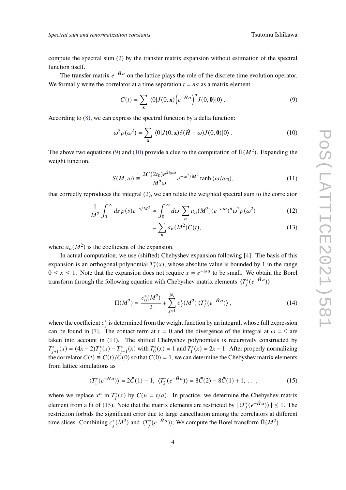compute the spectral sum [\(2\)](#page-2-1) by the transfer matrix expansion without estimation of the spectral function itself.

The transfer matrix  $e^{-\hat{H}a}$  on the lattice plays the role of the discrete time evolution operator. We formally write the correlator at a time separation  $t = na$  as a matrix element

<span id="page-3-0"></span>
$$
C(t) = \sum_{\mathbf{x}} \langle 0|J(0,\mathbf{x}) \left(e^{-\hat{H}a}\right)^n J(0,\mathbf{0}) |0\rangle. \tag{9}
$$

According to  $(8)$ , we can express the spectral function by a delta function:

$$
\omega^2 \rho(\omega^2) = \sum_{\mathbf{x}} \langle 0|J(0,\mathbf{x})\delta(\hat{H}-\omega)J(0,\mathbf{0})|0\rangle. \tag{10}
$$

The above two equations [\(9\)](#page-3-0) and [\(10\)](#page-3-1) provide a clue to the computation of  $\tilde{\Pi}(M^2)$ . Expanding the weight function,

$$
S(M,\omega) \equiv \frac{2C(2t_0)e^{2t_0\omega}}{M^2\omega}e^{-\omega^2/M^2}\tanh{(\omega/\omega_0)},
$$
\n(11)

that correctly reproduces the integral [\(2\)](#page-2-1), we can relate the weighted spectral sum to the correlator

$$
\frac{1}{M^2} \int_0^\infty ds \, \rho(s) e^{-s/M^2} \simeq \int_0^\infty d\omega \, \sum_n a_n(M^2) (e^{-\omega a})^n \omega^2 \rho(\omega^2) \tag{12}
$$

<span id="page-3-4"></span><span id="page-3-2"></span><span id="page-3-1"></span>
$$
=\sum_{n} a_n(M^2)C(t),\tag{13}
$$

where  $a_n(M^2)$  is the coefficient of the expansion.

In actual computation, we use (shifted) Chebyshev expansion following [\[4\]](#page-7-2). The basis of this expansion is an orthogonal polynomial  $T_i^*(x)$ , whose absolute value is bounded by 1 in the range  $0 \le x \le 1$ . Note that the expansion does not require  $x = e^{-\omega a}$  to be small. We obtain the Borel transform through the following equation with Chebyshev matrix elements  $\langle T_j^*(e^{-\hat{H}a})\rangle$ :

<span id="page-3-3"></span>
$$
\Pi(M^2) \simeq \frac{c_0^*(M^2)}{2} + \sum_{j=1}^{N_t} c_j^*(M^2) \langle T_j^*(e^{-\hat{H}a}) \rangle, \qquad (14)
$$

where the coefficient  $c_j^*$  is determined from the weight function by an integral, whose full expression can be found in [\[7\]](#page-7-5). The contact term at  $t = 0$  and the divergence of the integral at  $\omega = 0$  are taken into account in [\(11\)](#page-3-2). The shifted Chebyshev polynomials is recursively constructed by  $T_{j+1}^*(x) = (4x - 2)T_j^*(x) - T_{j-1}^*(x)$  with  $T_0^*$  $T_0^*(x) = 1$  and  $T_1^*$  $T_1^*(x) = 2x - 1$ . After properly normalizing the correlator  $\bar{C}(t) \equiv C(t)/\bar{C}(0)$  so that  $\bar{C}(0) = 1$ , we can determine the Chebyshev matrix elements from lattice simulations as

$$
\langle T_1^*(e^{-\hat{H}a})\rangle = 2\bar{C}(1) - 1, \ \langle T_2^*(e^{-\hat{H}a})\rangle = 8\bar{C}(2) - 8\bar{C}(1) + 1, \ \ldots,\tag{15}
$$

where we replace  $x^n$  in  $T_i^*(x)$  by  $\overline{C}(n = t/a)$ . In practice, we determine the Chebyshev matrix element from a fit of [\(15\)](#page-3-3). Note that the matrix elements are restricted by  $|\langle T_i^*(e^{-\hat{H}a})\rangle| \leq 1$ . The restriction forbids the significant error due to large cancellation among the correlators at different time slices. Combining  $c_j^*(M^2)$  and  $\langle T_j^*(e^{-\hat{H}a}) \rangle$ , We compute the Borel transform  $\tilde{\Pi}(M^2)$ .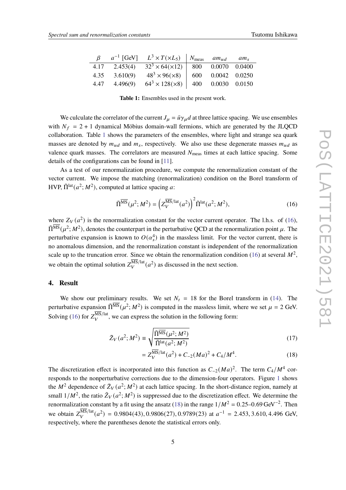<span id="page-4-0"></span>

| ß    |          | $a^{-1}$ [GeV] $L^3 \times T(\times L_5)$   $N_{\text{meas}}$ am <sub>ud</sub> am <sub>s</sub> |                     |  |
|------|----------|------------------------------------------------------------------------------------------------|---------------------|--|
| 4.17 |          | 2.453(4) $32^3 \times 64(\times 12)$ 800 0.0070 0.0400                                         |                     |  |
| 4.35 | 3.610(9) | $48^3 \times 96(\times 8)$                                                                     | 600  0.0042  0.0250 |  |
| 4.47 | 4.496(9) | $64^3 \times 128 \times 8$   400 0.0030 0.0150                                                 |                     |  |

**Table 1:** Ensembles used in the present work.

We culculate the correlator of the current  $J_{\mu} = \bar{u}\gamma_{\mu}d$  at three lattice spacing. We use ensembles with  $N_f = 2 + 1$  dynamical Möbius domain-wall fermions, which are generated by the JLQCD collaboration. Table [1](#page-4-0) shows the parameters of the ensembles, where light and strange sea quark masses are denoted by  $m_{ud}$  and  $m_s$ , respectively. We also use these degenerate masses  $m_{ud}$  as valence quark masses. The correlators are measured  $N<sub>meas</sub>$  times at each lattice spacing. Some details of the configurations can be found in [\[11\]](#page-7-9).

As a test of our renormalization procedure, we compute the renormalization constant of the vector current. We impose the matching (renormalization) condition on the Borel transform of HVP,  $\tilde{\Pi}^{\text{lat}}(a^2; M^2)$ , computed at lattice spacing a:

<span id="page-4-1"></span>
$$
\tilde{\Pi}^{\overline{\text{MS}}}(\mu^2; M^2) = \left(Z_V^{\overline{\text{MS}}/\text{lat}}(a^2)\right)^2 \tilde{\Pi}^{\text{lat}}(a^2; M^2),\tag{16}
$$

where  $Z_V(a^2)$  is the renormalization constant for the vector current operator. The l.h.s. of [\(16\)](#page-4-1),  $\tilde{\Pi}^{\overline{\rm MS}}(\mu^2;M^2)$ , denotes the counterpart in the perturbative QCD at the renormalization point  $\mu$ . The perturbative expansion is known to  $O(\alpha_s^4)$  in the massless limit. For the vector current, there is no anomalous dimension, and the renormalization constant is independent of the renormalization scale up to the truncation error. Since we obtain the renormalization condition [\(16\)](#page-4-1) at several  $M^2$ , we obtain the optimal solution  $Z_V^{\text{MS/lat}}(a^2)$  as discussed in the next section.

## **4. Result**

We show our preliminary results. We set  $N_t = 18$  for the Borel transform in [\(14\)](#page-3-4). The perturbative expansion  $\tilde{\Pi}^{\overline{\text{MS}}}(\mu^2; M^2)$  is computed in the massless limit, where we set  $\mu = 2$  GeV. Solving [\(16\)](#page-4-1) for  $Z_V^{\overline{\text{MS}}/\text{lat}}$ , we can express the solution in the following form:

$$
\tilde{Z}_V(a^2; M^2) \equiv \sqrt{\frac{\tilde{\Pi}^{\overline{\text{MS}}}(\mu^2; M^2)}{\tilde{\Pi}^{\text{lat}}(a^2; M^2)}}
$$
(17)

<span id="page-4-3"></span><span id="page-4-2"></span>
$$
=Z_V^{\overline{\text{MS}}/\text{lat}}(a^2) + C_{-2}(Ma)^2 + C_4/M^4.
$$
 (18)

The discretization effect is incorporated into this function as  $C_{-2}(Ma)^2$ . The term  $C_4/M^4$  corresponds to the nonperturbative corrections due to the dimension-four operators. Figure [1](#page-5-1) shows the  $M^2$  dependence of  $\tilde{Z}_V(a^2; M^2)$  at each lattice spacing. In the short-distance region, namely at small  $1/M^2$ , the ratio  $\tilde{Z}_V(a^2; M^2)$  is suppressed due to the discretization effect. We determine the renormalization constant by a fit using the ansatz [\(18\)](#page-4-2) in the range  $1/M^2 = 0.25 - 0.69 \,\text{GeV}^{-2}$ . Then we obtain  $Z_V^{\text{MS/lat}}(a^2) = 0.9804(43), 0.9806(27), 0.9789(23)$  at  $a^{-1} = 2.453, 3.610, 4.496$  GeV, respectively, where the parentheses denote the statistical errors only.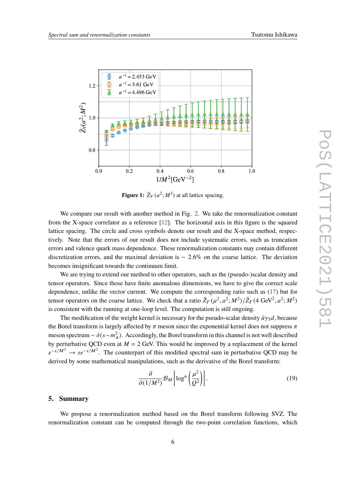<span id="page-5-1"></span>

**Figure 1:**  $\tilde{Z}_V(a^2; M^2)$  at all lattice spacing.

We compare our result with another method in Fig. [2.](#page-6-1) We take the renormalization constant from the X-space correlator as a reference [\[12\]](#page-7-10). The horizontal axis in this figure is the squared lattice spacing. The circle and cross symbols denote our result and the X-space method, respectively. Note that the errors of our result does not include systematic errors, such as truncation errors and valence quark mass dependence. These renormalization constants may contain different discretization errors, and the maximal deviation is ∼ 2.6% on the coarse lattice. The deviation becomes insignificant towards the continuum limit.

We are trying to extend our method to other operators, such as the (pseudo-)scalar density and tensor operators. Since those have finite anomalous dimensions, we have to give the correct scale dependence, unlike the vector current. We compute the corresponding ratio such as [\(17\)](#page-4-3) but for tensor operators on the coarse lattice. We check that a ratio  $\tilde{Z}_T(\mu^2, a^2; M^2)/\tilde{Z}_T(4 \text{ GeV}^2, a^2; M^2)$ is consistent with the running at one-loop level. The computation is still ongoing.

The modification of the weight kernel is necessary for the pseudo-scalar density  $\bar{u}\gamma_5 d$ , because the Borel transform is largely affected by  $\pi$  meson since the exponential kernel does not suppress  $\pi$ meson spectrum ~  $\delta(s-m_{\pi}^2)$ . Accordingly, the Borel transform in this channel is not well described by perturbative QCD even at  $M = 2$  GeV. This would be improved by a replacement of the kernel  $e^{-s/M^2} \rightarrow s e^{-s/M^2}$ . The counterpart of this modified spectral sum in perturbative QCD may be derived by some mathematical manipulations, such as the derivative of the Borel transform:

$$
\frac{\partial}{\partial (1/M^2)} \mathcal{B}_M \left[ \log^n \left( \frac{\mu^2}{Q^2} \right) \right]. \tag{19}
$$

### <span id="page-5-0"></span>**5. Summary**

We propose a renormalization method based on the Borel transform following SVZ. The renormalization constant can be computed through the two-point correlation functions, which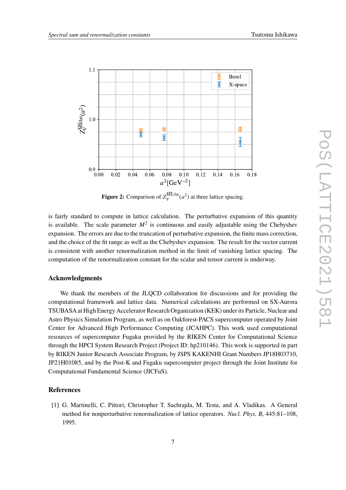<span id="page-6-1"></span>

**Figure 2:** Comparison of  $Z_V^{\text{MS/lat}}(a^2)$  at three lattice spacing.

is fairly standard to compute in lattice calculation. The perturbative expansion of this quantity is available. The scale parameter  $M^2$  is continuous and easily adjustable using the Chebyshev expansion. The errors are due to the truncation of perturbative expansion, the finite mass correction, and the choice of the fit range as well as the Chebyshev expansion. The result for the vector current is consistent with another renormalization method in the limit of vanishing lattice spacing. The computation of the renormalization constant for the scalar and tensor current is underway.

# **Acknowledgments**

We thank the members of the JLQCD collaboration for discussions and for providing the computational framework and lattice data. Numerical calculations are performed on SX-Aurora TSUBASA at High Energy Accelerator Research Organization (KEK) under its Particle, Nuclear and Astro Physics Simulation Program, as well as on Oakforest-PACS supercomputer operated by Joint Center for Advanced High Performance Computing (JCAHPC). This work used computational resources of supercomputer Fugaku provided by the RIKEN Center for Computational Science through the HPCI System Research Project (Project ID: hp210146). This work is supported in part by RIKEN Junior Research Associate Program, by JSPS KAKENHI Grant Numbers JP18H03710, JP21H01085, and by the Post-K and Fugaku supercomputer project through the Joint Institute for Computational Fundamental Science (JICFuS).

#### **References**

<span id="page-6-0"></span>[1] G. Martinelli, C. Pittori, Christopher T. Sachrajda, M. Testa, and A. Vladikas. A General method for nonperturbative renormalization of lattice operators. *Nucl. Phys. B*, 445:81–108, 1995.